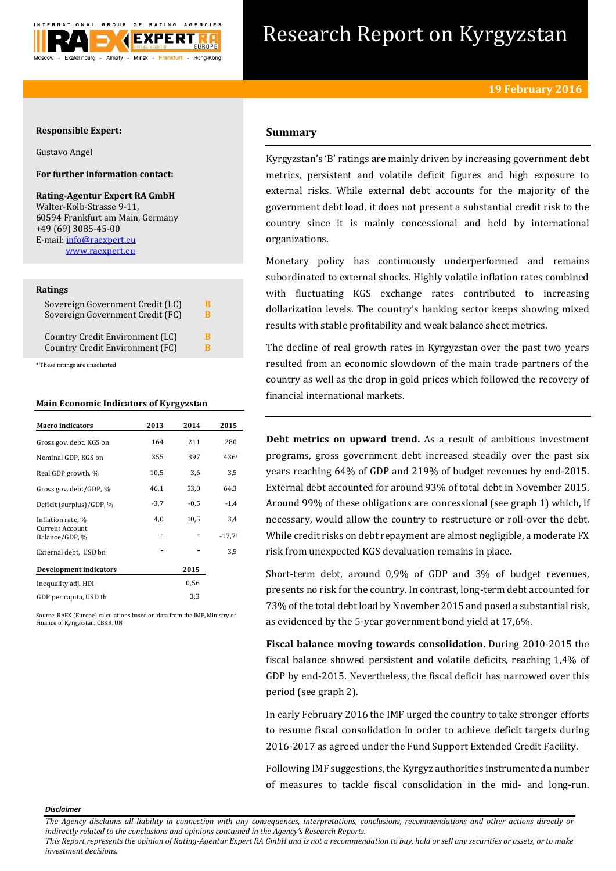

# Research Report on Kyrgyzstan

## **Responsible Expert:**

Gustavo Angel

# **For further information contact:**

**Rating-Agentur Expert RA GmbH** Walter-Kolb-Strasse 9-11, 60594 Frankfurt am Main, Germany +49 (69) 3085-45-00 E-mail[: info@raexpert.eu](mailto:info@raexpert.eu) [www.raexpert.eu](http://raexpert.eu/)

#### **Ratings**

| Sovereign Government Credit (LC) | В |
|----------------------------------|---|
| Sovereign Government Credit (FC) | в |
| Country Credit Environment (LC)  | R |
| Country Credit Environment (FC)  | R |

\* These ratings are unsolicited

## **Main Economic Indicators of Kyrgyzstan**

| <b>Macro indicators</b>                  | 2013   | 2014   | 2015             |
|------------------------------------------|--------|--------|------------------|
| Gross gov. debt, KGS bn                  | 164    | 211    | 280              |
| Nominal GDP, KGS bn                      | 355    | 397    | 436 <sup>f</sup> |
| Real GDP growth, %                       | 10,5   | 3,6    | 3,5              |
| Gross gov. debt/GDP, %                   | 46,1   | 53,0   | 64,3             |
| Deficit (surplus)/GDP, %                 | $-3,7$ | $-0.5$ | $-1,4$           |
| Inflation rate, %                        | 4.0    | 10,5   | 3,4              |
| <b>Current Account</b><br>Balance/GDP, % |        |        | $-17,7$ f        |
| External debt, USD bn                    |        |        | 3,5              |
| Development indicators                   |        | 2015   |                  |
| Inequality adj. HDI                      |        | 0,56   |                  |
| GDP per capita, USD th                   |        | 3,3    |                  |

Source: RAEX (Europe) calculations based on data from the IMF, Ministry of Finance of Kyrgyzstan, CBKR, UN

# **Summary**

Kyrgyzstan's 'B' ratings are mainly driven by increasing government debt metrics, persistent and volatile deficit figures and high exposure to external risks. While external debt accounts for the majority of the government debt load, it does not present a substantial credit risk to the country since it is mainly concessional and held by international organizations.

Monetary policy has continuously underperformed and remains subordinated to external shocks. Highly volatile inflation rates combined with fluctuating KGS exchange rates contributed to increasing dollarization levels. The country's banking sector keeps showing mixed results with stable profitability and weak balance sheet metrics.

The decline of real growth rates in Kyrgyzstan over the past two years resulted from an economic slowdown of the main trade partners of the country as well as the drop in gold prices which followed the recovery of financial international markets.

**Debt metrics on upward trend.** As a result of ambitious investment programs, gross government debt increased steadily over the past six years reaching 64% of GDP and 219% of budget revenues by end-2015. External debt accounted for around 93% of total debt in November 2015. Around 99% of these obligations are concessional (see graph 1) which, if necessary, would allow the country to restructure or roll-over the debt. While credit risks on debt repayment are almost negligible, a moderate FX risk from unexpected KGS devaluation remains in place.

Short-term debt, around 0,9% of GDP and 3% of budget revenues, presents no risk for the country. In contrast, long-term debt accounted for 73% of the total debt load by November 2015 and posed a substantial risk, as evidenced by the 5-year government bond yield at 17,6%.

**Fiscal balance moving towards consolidation.** During 2010-2015 the fiscal balance showed persistent and volatile deficits, reaching 1,4% of GDP by end-2015. Nevertheless, the fiscal deficit has narrowed over this period (see graph 2).

In early February 2016 the IMF urged the country to take stronger efforts to resume fiscal consolidation in order to achieve deficit targets during 2016-2017 as agreed under the Fund Support Extended Credit Facility.

Following IMF suggestions, the Kyrgyz authorities instrumented a number of measures to tackle fiscal consolidation in the mid- and long-run.

*Disclaimer* 

*This Report represents the opinion of Rating-Agentur Expert RA GmbH and is not a recommendation to buy, hold or sell any securities or assets, or to make investment decisions.*

*The Agency disclaims all liability in connection with any consequences, interpretations, conclusions, recommendations and other actions directly or indirectly related to the conclusions and opinions contained in the Agency's Research Reports.*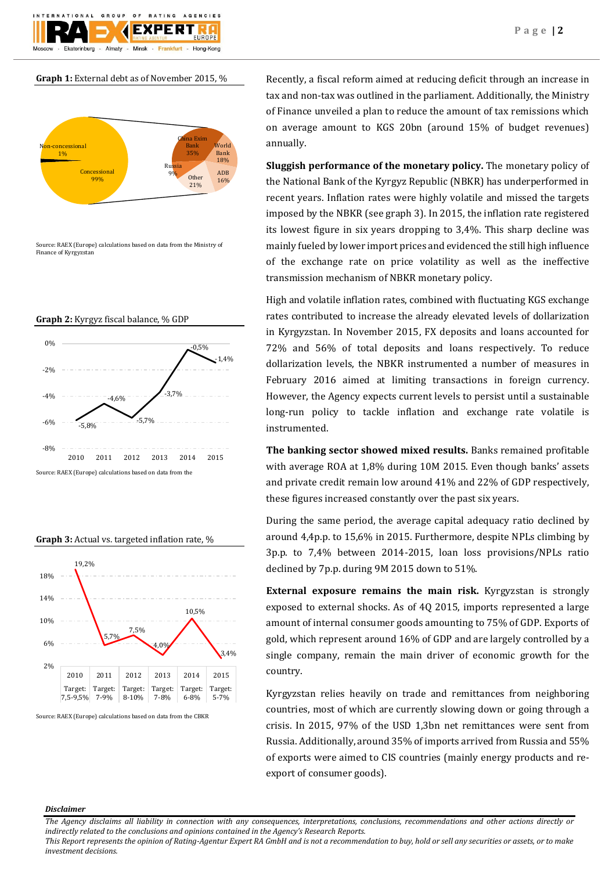$O F$ **BATING** AGENCIES GROUP FXPFRT Almaty Hong-Kong Ekaterinburg Minek Frankfurt

**Graph 1:** External debt as of November 2015, %



Source: RAEX (Europe) calculations based on data from the Ministry of Finance of Kyrgyzstan









Source: RAEX (Europe) calculations based on data from the CBKR

Recently, a fiscal reform aimed at reducing deficit through an increase in tax and non-tax was outlined in the parliament. Additionally, the Ministry of Finance unveiled a plan to reduce the amount of tax remissions which on average amount to KGS 20bn (around 15% of budget revenues) annually.

**Sluggish performance of the monetary policy.** The monetary policy of the National Bank of the Kyrgyz Republic (NBKR) has underperformed in recent years. Inflation rates were highly volatile and missed the targets imposed by the NBKR (see graph 3). In 2015, the inflation rate registered its lowest figure in six years dropping to 3,4%. This sharp decline was mainly fueled by lower import prices and evidenced the still high influence of the exchange rate on price volatility as well as the ineffective transmission mechanism of NBKR monetary policy.

High and volatile inflation rates, combined with fluctuating KGS exchange rates contributed to increase the already elevated levels of dollarization in Kyrgyzstan. In November 2015, FX deposits and loans accounted for 72% and 56% of total deposits and loans respectively. To reduce dollarization levels, the NBKR instrumented a number of measures in February 2016 aimed at limiting transactions in foreign currency. However, the Agency expects current levels to persist until a sustainable long-run policy to tackle inflation and exchange rate volatile is instrumented.

**The banking sector showed mixed results.** Banks remained profitable with average ROA at 1,8% during 10M 2015. Even though banks' assets and private credit remain low around 41% and 22% of GDP respectively, these figures increased constantly over the past six years.

During the same period, the average capital adequacy ratio declined by around 4,4p.p. to 15,6% in 2015. Furthermore, despite NPLs climbing by 3p.p. to 7,4% between 2014-2015, loan loss provisions/NPLs ratio declined by 7p.p. during 9M 2015 down to 51%.

**External exposure remains the main risk.** Kyrgyzstan is strongly exposed to external shocks. As of 4Q 2015, imports represented a large amount of internal consumer goods amounting to 75% of GDP. Exports of gold, which represent around 16% of GDP and are largely controlled by a single company, remain the main driver of economic growth for the country.

Kyrgyzstan relies heavily on trade and remittances from neighboring countries, most of which are currently slowing down or going through a crisis. In 2015, 97% of the USD 1,3bn net remittances were sent from Russia. Additionally, around 35% of imports arrived from Russia and 55% of exports were aimed to CIS countries (mainly energy products and reexport of consumer goods).

#### *Disclaimer*

*The Agency disclaims all liability in connection with any consequences, interpretations, conclusions, recommendations and other actions directly or indirectly related to the conclusions and opinions contained in the Agency's Research Reports.*

*This Report represents the opinion of Rating-Agentur Expert RA GmbH and is not a recommendation to buy, hold or sell any securities or assets, or to make investment decisions.*